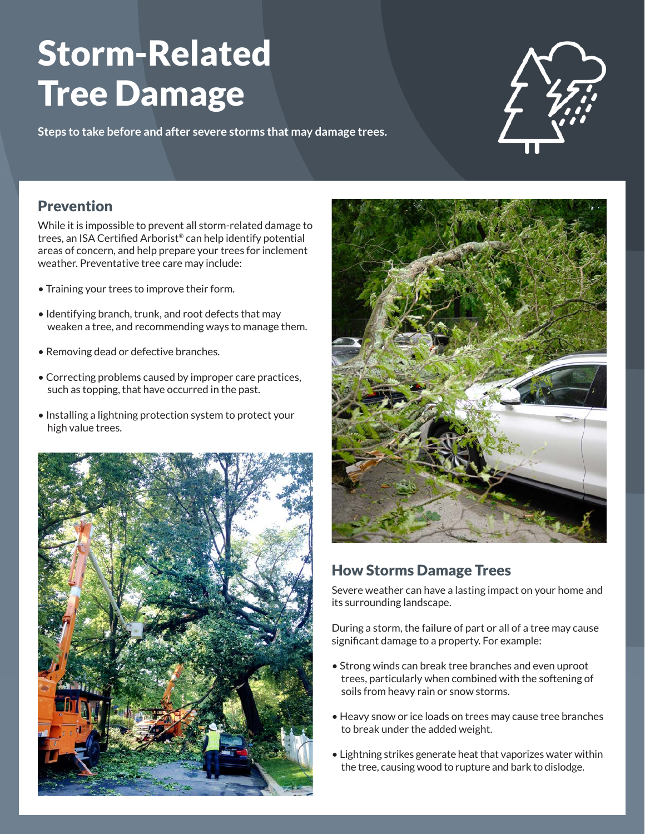# Storm-Related Tree Damage

**Steps to take before and after severe storms that may damage trees.** 



### Prevention

While it is impossible to prevent all storm-related damage to trees, an ISA Certified Arborist® can help identify potential areas of concern, and help prepare your trees for inclement weather. Preventative tree care may include:

- Training your trees to improve their form.
- Identifying branch, trunk, and root defects that may weaken a tree, and recommending ways to manage them.
- Removing dead or defective branches.
- Correcting problems caused by improper care practices, such as topping, that have occurred in the past.
- Installing a lightning protection system to protect your high value trees.





# How Storms Damage Trees

Severe weather can have a lasting impact on your home and its surrounding landscape.

During a storm, the failure of part or all of a tree may cause significant damage to a property. For example:

- Strong winds can break tree branches and even uproot trees, particularly when combined with the softening of soils from heavy rain or snow storms.
- Heavy snow or ice loads on trees may cause tree branches to break under the added weight.
- Lightning strikes generate heat that vaporizes water within the tree, causing wood to rupture and bark to dislodge.